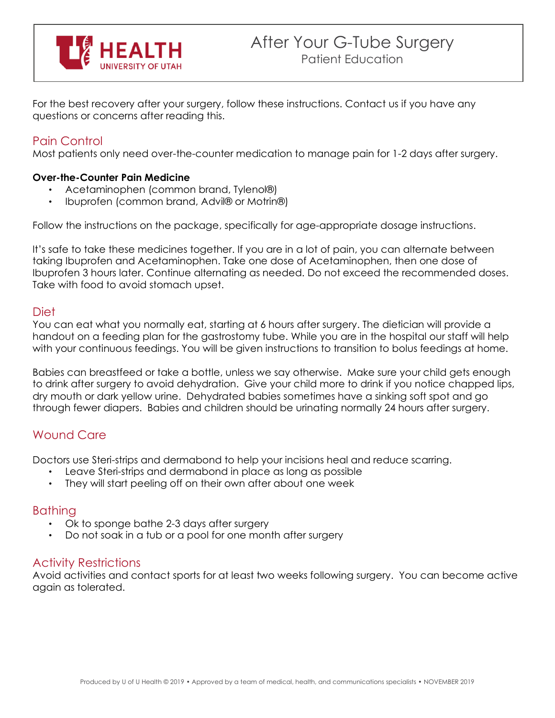

For the best recovery after your surgery, follow these instructions. Contact us if you have any questions or concerns after reading this.

# Pain Control

Most patients only need over-the-counter medication to manage pain for 1-2 days after surgery.

### **Over-the-Counter Pain Medicine**

- Acetaminophen (common brand, Tylenol®)
- Ibuprofen (common brand, Advil® or Motrin®)

Follow the instructions on the package, specifically for age-appropriate dosage instructions.

It's safe to take these medicines together. If you are in a lot of pain, you can alternate between taking Ibuprofen and Acetaminophen. Take one dose of Acetaminophen, then one dose of Ibuprofen 3 hours later. Continue alternating as needed. Do not exceed the recommended doses. Take with food to avoid stomach upset.

### Diet

You can eat what you normally eat, starting at 6 hours after surgery. The dietician will provide a handout on a feeding plan for the gastrostomy tube. While you are in the hospital our staff will help with your continuous feedings. You will be given instructions to transition to bolus feedings at home.

Babies can breastfeed or take a bottle, unless we say otherwise. Make sure your child gets enough to drink after surgery to avoid dehydration. Give your child more to drink if you notice chapped lips, dry mouth or dark yellow urine. Dehydrated babies sometimes have a sinking soft spot and go through fewer diapers. Babies and children should be urinating normally 24 hours after surgery.

## Wound Care

Doctors use Steri-strips and dermabond to help your incisions heal and reduce scarring.

- Leave Steri-strips and dermabond in place as long as possible
- They will start peeling off on their own after about one week

## Bathing

- Ok to sponge bathe 2-3 days after surgery
- Do not soak in a tub or a pool for one month after surgery

## Activity Restrictions

Avoid activities and contact sports for at least two weeks following surgery. You can become active again as tolerated.